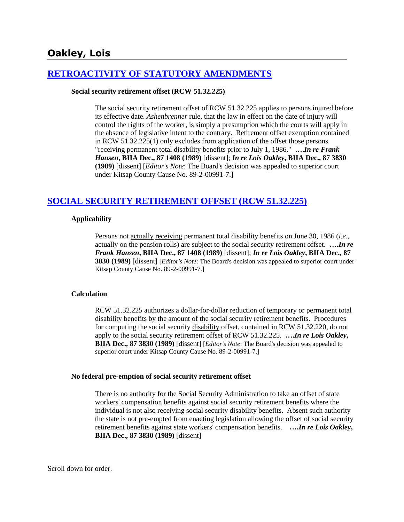# **[RETROACTIVITY OF STATUTORY AMENDMENTS](http://www.biia.wa.gov/SDSubjectIndex.html#RETROACTIVITY_OF_STATUTORY_AMENDMENTS)**

#### **Social security retirement offset (RCW 51.32.225)**

The social security retirement offset of RCW 51.32.225 applies to persons injured before its effective date. *Ashenbrenner* rule, that the law in effect on the date of injury will control the rights of the worker, is simply a presumption which the courts will apply in the absence of legislative intent to the contrary. Retirement offset exemption contained in RCW 51.32.225(1) only excludes from application of the offset those persons "receiving permanent total disability benefits prior to July 1, 1986." **….***In re Frank Hansen***, BIIA Dec., 87 1408 (1989)** [dissent]; *In re Lois Oakley***, BIIA Dec., 87 3830 (1989)** [dissent] [*Editor's Note*: The Board's decision was appealed to superior court under Kitsap County Cause No. 89-2-00991-7.]

## **[SOCIAL SECURITY RETIREMENT OFFSET \(RCW 51.32.225\)](http://www.biia.wa.gov/SDSubjectIndex.html#SOCIAL_SECURITY_DISABILITY_OFFSET)**

#### **Applicability**

Persons not actually receiving permanent total disability benefits on June 30, 1986 (*i.e*., actually on the pension rolls) are subject to the social security retirement offset. **….***In re Frank Hansen***, BIIA Dec., 87 1408 (1989)** [dissent]; *In re Lois Oakley***, BIIA Dec., 87 3830 (1989)** [dissent] [*Editor's Note*: The Board's decision was appealed to superior court under Kitsap County Cause No. 89-2-00991-7.]

#### **Calculation**

RCW 51.32.225 authorizes a dollar-for-dollar reduction of temporary or permanent total disability benefits by the amount of the social security retirement benefits. Procedures for computing the social security disability offset, contained in RCW 51.32.220, do not apply to the social security retirement offset of RCW 51.32.225. **….***In re Lois Oakley***, BIIA Dec., 87 3830 (1989)** [dissent] [*Editor's Note*: The Board's decision was appealed to superior court under Kitsap County Cause No. 89-2-00991-7.]

#### **No federal pre-emption of social security retirement offset**

There is no authority for the Social Security Administration to take an offset of state workers' compensation benefits against social security retirement benefits where the individual is not also receiving social security disability benefits. Absent such authority the state is not pre-empted from enacting legislation allowing the offset of social security retirement benefits against state workers' compensation benefits. **….***In re Lois Oakley***, BIIA Dec., 87 3830 (1989)** [dissent]

Scroll down for order.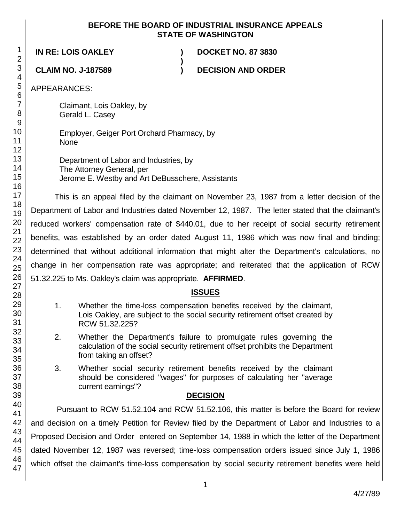### **BEFORE THE BOARD OF INDUSTRIAL INSURANCE APPEALS STATE OF WASHINGTON**

**)**

**IN RE: LOIS OAKLEY ) DOCKET NO. 87 3830**

**CLAIM NO. J-187589 ) DECISION AND ORDER**

APPEARANCES:

Claimant, Lois Oakley, by Gerald L. Casey

Employer, Geiger Port Orchard Pharmacy, by None

Department of Labor and Industries, by The Attorney General, per Jerome E. Westby and Art DeBusschere, Assistants

This is an appeal filed by the claimant on November 23, 1987 from a letter decision of the Department of Labor and Industries dated November 12, 1987. The letter stated that the claimant's reduced workers' compensation rate of \$440.01, due to her receipt of social security retirement benefits, was established by an order dated August 11, 1986 which was now final and binding; determined that without additional information that might alter the Department's calculations, no change in her compensation rate was appropriate; and reiterated that the application of RCW 51.32.225 to Ms. Oakley's claim was appropriate. **AFFIRMED**.

# **ISSUES**

- 1. Whether the time-loss compensation benefits received by the claimant, Lois Oakley, are subject to the social security retirement offset created by RCW 51.32.225?
- 2. Whether the Department's failure to promulgate rules governing the calculation of the social security retirement offset prohibits the Department from taking an offset?
- 3. Whether social security retirement benefits received by the claimant should be considered "wages" for purposes of calculating her "average current earnings"?

# **DECISION**

Pursuant to RCW 51.52.104 and RCW 51.52.106, this matter is before the Board for review and decision on a timely Petition for Review filed by the Department of Labor and Industries to a Proposed Decision and Order entered on September 14, 1988 in which the letter of the Department dated November 12, 1987 was reversed; time-loss compensation orders issued since July 1, 1986 which offset the claimant's time-loss compensation by social security retirement benefits were held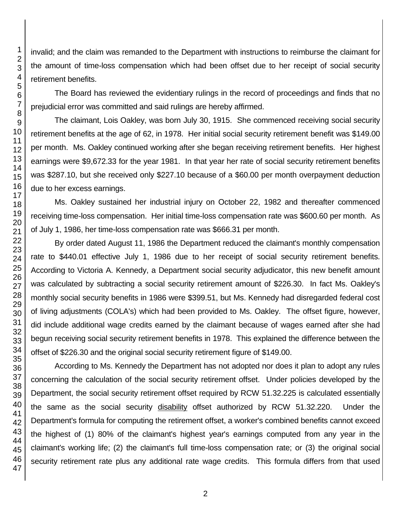invalid; and the claim was remanded to the Department with instructions to reimburse the claimant for the amount of time-loss compensation which had been offset due to her receipt of social security retirement benefits.

The Board has reviewed the evidentiary rulings in the record of proceedings and finds that no prejudicial error was committed and said rulings are hereby affirmed.

The claimant, Lois Oakley, was born July 30, 1915. She commenced receiving social security retirement benefits at the age of 62, in 1978. Her initial social security retirement benefit was \$149.00 per month. Ms. Oakley continued working after she began receiving retirement benefits. Her highest earnings were \$9,672.33 for the year 1981. In that year her rate of social security retirement benefits was \$287.10, but she received only \$227.10 because of a \$60.00 per month overpayment deduction due to her excess earnings.

Ms. Oakley sustained her industrial injury on October 22, 1982 and thereafter commenced receiving time-loss compensation. Her initial time-loss compensation rate was \$600.60 per month. As of July 1, 1986, her time-loss compensation rate was \$666.31 per month.

By order dated August 11, 1986 the Department reduced the claimant's monthly compensation rate to \$440.01 effective July 1, 1986 due to her receipt of social security retirement benefits. According to Victoria A. Kennedy, a Department social security adjudicator, this new benefit amount was calculated by subtracting a social security retirement amount of \$226.30. In fact Ms. Oakley's monthly social security benefits in 1986 were \$399.51, but Ms. Kennedy had disregarded federal cost of living adjustments (COLA's) which had been provided to Ms. Oakley. The offset figure, however, did include additional wage credits earned by the claimant because of wages earned after she had begun receiving social security retirement benefits in 1978. This explained the difference between the offset of \$226.30 and the original social security retirement figure of \$149.00.

According to Ms. Kennedy the Department has not adopted nor does it plan to adopt any rules concerning the calculation of the social security retirement offset. Under policies developed by the Department, the social security retirement offset required by RCW 51.32.225 is calculated essentially the same as the social security disability offset authorized by RCW 51.32.220. Under the Department's formula for computing the retirement offset, a worker's combined benefits cannot exceed the highest of (1) 80% of the claimant's highest year's earnings computed from any year in the claimant's working life; (2) the claimant's full time-loss compensation rate; or (3) the original social security retirement rate plus any additional rate wage credits. This formula differs from that used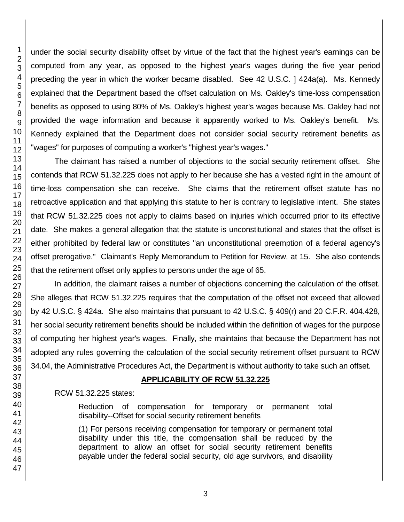under the social security disability offset by virtue of the fact that the highest year's earnings can be computed from any year, as opposed to the highest year's wages during the five year period preceding the year in which the worker became disabled. See 42 U.S.C. ] 424a(a). Ms. Kennedy explained that the Department based the offset calculation on Ms. Oakley's time-loss compensation benefits as opposed to using 80% of Ms. Oakley's highest year's wages because Ms. Oakley had not provided the wage information and because it apparently worked to Ms. Oakley's benefit. Ms. Kennedy explained that the Department does not consider social security retirement benefits as "wages" for purposes of computing a worker's "highest year's wages."

The claimant has raised a number of objections to the social security retirement offset. She contends that RCW 51.32.225 does not apply to her because she has a vested right in the amount of time-loss compensation she can receive. She claims that the retirement offset statute has no retroactive application and that applying this statute to her is contrary to legislative intent. She states that RCW 51.32.225 does not apply to claims based on injuries which occurred prior to its effective date. She makes a general allegation that the statute is unconstitutional and states that the offset is either prohibited by federal law or constitutes "an unconstitutional preemption of a federal agency's offset prerogative." Claimant's Reply Memorandum to Petition for Review, at 15. She also contends that the retirement offset only applies to persons under the age of 65.

In addition, the claimant raises a number of objections concerning the calculation of the offset. She alleges that RCW 51.32.225 requires that the computation of the offset not exceed that allowed by 42 U.S.C. § 424a. She also maintains that pursuant to 42 U.S.C. § 409(r) and 20 C.F.R. 404.428, her social security retirement benefits should be included within the definition of wages for the purpose of computing her highest year's wages. Finally, she maintains that because the Department has not adopted any rules governing the calculation of the social security retirement offset pursuant to RCW 34.04, the Administrative Procedures Act, the Department is without authority to take such an offset.

# **APPLICABILITY OF RCW 51.32.225**

RCW 51.32.225 states:

Reduction of compensation for temporary or permanent total disability--Offset for social security retirement benefits

(1) For persons receiving compensation for temporary or permanent total disability under this title, the compensation shall be reduced by the department to allow an offset for social security retirement benefits payable under the federal social security, old age survivors, and disability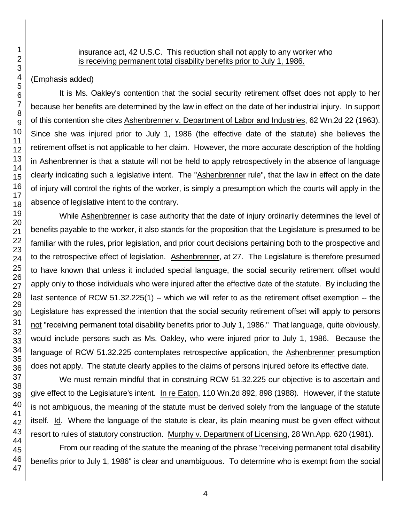#### insurance act, 42 U.S.C. This reduction shall not apply to any worker who is receiving permanent total disability benefits prior to July 1, 1986.

(Emphasis added)

It is Ms. Oakley's contention that the social security retirement offset does not apply to her because her benefits are determined by the law in effect on the date of her industrial injury. In support of this contention she cites Ashenbrenner v. Department of Labor and Industries, 62 Wn.2d 22 (1963). Since she was injured prior to July 1, 1986 (the effective date of the statute) she believes the retirement offset is not applicable to her claim. However, the more accurate description of the holding in Ashenbrenner is that a statute will not be held to apply retrospectively in the absence of language clearly indicating such a legislative intent. The "Ashenbrenner rule", that the law in effect on the date of injury will control the rights of the worker, is simply a presumption which the courts will apply in the absence of legislative intent to the contrary.

While **Ashenbrenner** is case authority that the date of injury ordinarily determines the level of benefits payable to the worker, it also stands for the proposition that the Legislature is presumed to be familiar with the rules, prior legislation, and prior court decisions pertaining both to the prospective and to the retrospective effect of legislation. Ashenbrenner, at 27. The Legislature is therefore presumed to have known that unless it included special language, the social security retirement offset would apply only to those individuals who were injured after the effective date of the statute. By including the last sentence of RCW 51.32.225(1) -- which we will refer to as the retirement offset exemption -- the Legislature has expressed the intention that the social security retirement offset will apply to persons not "receiving permanent total disability benefits prior to July 1, 1986." That language, quite obviously, would include persons such as Ms. Oakley, who were injured prior to July 1, 1986. Because the language of RCW 51.32.225 contemplates retrospective application, the Ashenbrenner presumption does not apply. The statute clearly applies to the claims of persons injured before its effective date.

We must remain mindful that in construing RCW 51.32.225 our objective is to ascertain and give effect to the Legislature's intent. In re Eaton, 110 Wn.2d 892, 898 (1988). However, if the statute is not ambiguous, the meaning of the statute must be derived solely from the language of the statute itself. Id. Where the language of the statute is clear, its plain meaning must be given effect without resort to rules of statutory construction. Murphy v. Department of Licensing, 28 Wn.App. 620 (1981).

From our reading of the statute the meaning of the phrase "receiving permanent total disability benefits prior to July 1, 1986" is clear and unambiguous. To determine who is exempt from the social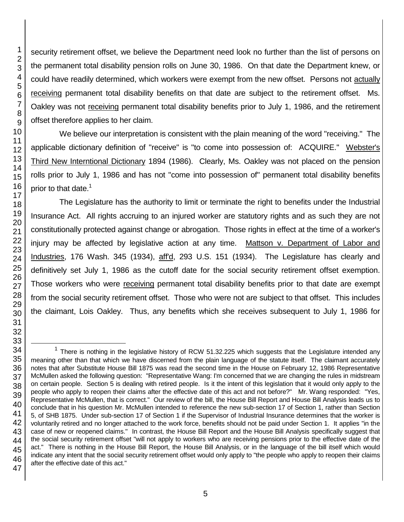security retirement offset, we believe the Department need look no further than the list of persons on the permanent total disability pension rolls on June 30, 1986. On that date the Department knew, or could have readily determined, which workers were exempt from the new offset. Persons not actually receiving permanent total disability benefits on that date are subject to the retirement offset. Ms. Oakley was not receiving permanent total disability benefits prior to July 1, 1986, and the retirement offset therefore applies to her claim.

We believe our interpretation is consistent with the plain meaning of the word "receiving." The applicable dictionary definition of "receive" is "to come into possession of: ACQUIRE." Webster's Third New Interntional Dictionary 1894 (1986). Clearly, Ms. Oakley was not placed on the pension rolls prior to July 1, 1986 and has not "come into possession of" permanent total disability benefits prior to that date.<sup>1</sup>

The Legislature has the authority to limit or terminate the right to benefits under the Industrial Insurance Act. All rights accruing to an injured worker are statutory rights and as such they are not constitutionally protected against change or abrogation. Those rights in effect at the time of a worker's injury may be affected by legislative action at any time. Mattson v. Department of Labor and Industries, 176 Wash. 345 (1934), aff'd, 293 U.S. 151 (1934). The Legislature has clearly and definitively set July 1, 1986 as the cutoff date for the social security retirement offset exemption. Those workers who were receiving permanent total disability benefits prior to that date are exempt from the social security retirement offset. Those who were not are subject to that offset. This includes the claimant, Lois Oakley. Thus, any benefits which she receives subsequent to July 1, 1986 for

l

 $1$  There is nothing in the legislative history of RCW 51.32.225 which suggests that the Legislature intended any meaning other than that which we have discerned from the plain language of the statute itself. The claimant accurately notes that after Substitute House Bill 1875 was read the second time in the House on February 12, 1986 Representative McMullen asked the following question: "Representative Wang: I'm concerned that we are changing the rules in midstream on certain people. Section 5 is dealing with retired people. Is it the intent of this legislation that it would only apply to the people who apply to reopen their claims after the effective date of this act and not before?" Mr. Wang responded: "Yes, Representative McMullen, that is correct." Our review of the bill, the House Bill Report and House Bill Analysis leads us to conclude that in his question Mr. McMullen intended to reference the new sub-section 17 of Section 1, rather than Section 5, of SHB 1875. Under sub-section 17 of Section 1 if the Supervisor of Industrial Insurance determines that the worker is voluntarily retired and no longer attached to the work force, benefits should not be paid under Section 1. It applies "in the case of new or reopened claims." In contrast, the House Bill Report and the House Bill Analysis specifically suggest that the social security retirement offset "will not apply to workers who are receiving pensions prior to the effective date of the act." There is nothing in the House Bill Report, the House Bill Analysis, or in the language of the bill itself which would indicate any intent that the social security retirement offset would only apply to "the people who apply to reopen their claims after the effective date of this act."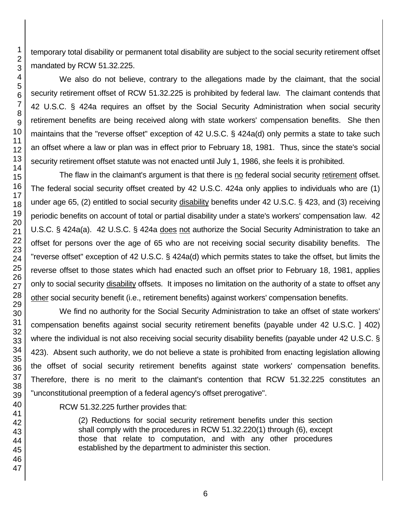temporary total disability or permanent total disability are subject to the social security retirement offset mandated by RCW 51.32.225.

We also do not believe, contrary to the allegations made by the claimant, that the social security retirement offset of RCW 51.32.225 is prohibited by federal law. The claimant contends that 42 U.S.C. § 424a requires an offset by the Social Security Administration when social security retirement benefits are being received along with state workers' compensation benefits. She then maintains that the "reverse offset" exception of 42 U.S.C. § 424a(d) only permits a state to take such an offset where a law or plan was in effect prior to February 18, 1981. Thus, since the state's social security retirement offset statute was not enacted until July 1, 1986, she feels it is prohibited.

The flaw in the claimant's argument is that there is no federal social security retirement offset. The federal social security offset created by 42 U.S.C. 424a only applies to individuals who are (1) under age 65, (2) entitled to social security disability benefits under 42 U.S.C. § 423, and (3) receiving periodic benefits on account of total or partial disability under a state's workers' compensation law. 42 U.S.C. § 424a(a). 42 U.S.C. § 424a does not authorize the Social Security Administration to take an offset for persons over the age of 65 who are not receiving social security disability benefits. The "reverse offset" exception of 42 U.S.C. § 424a(d) which permits states to take the offset, but limits the reverse offset to those states which had enacted such an offset prior to February 18, 1981, applies only to social security disability offsets. It imposes no limitation on the authority of a state to offset any other social security benefit (i.e., retirement benefits) against workers' compensation benefits.

We find no authority for the Social Security Administration to take an offset of state workers' compensation benefits against social security retirement benefits (payable under 42 U.S.C. ] 402) where the individual is not also receiving social security disability benefits (payable under 42 U.S.C. § 423). Absent such authority, we do not believe a state is prohibited from enacting legislation allowing the offset of social security retirement benefits against state workers' compensation benefits. Therefore, there is no merit to the claimant's contention that RCW 51.32.225 constitutes an "unconstitutional preemption of a federal agency's offset prerogative".

### RCW 51.32.225 further provides that:

(2) Reductions for social security retirement benefits under this section shall comply with the procedures in RCW 51.32.220(1) through (6), except those that relate to computation, and with any other procedures established by the department to administer this section.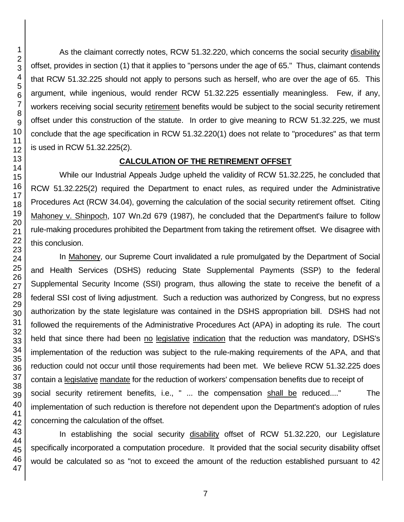As the claimant correctly notes, RCW 51.32.220, which concerns the social security disability offset, provides in section (1) that it applies to "persons under the age of 65." Thus, claimant contends that RCW 51.32.225 should not apply to persons such as herself, who are over the age of 65. This argument, while ingenious, would render RCW 51.32.225 essentially meaningless. Few, if any, workers receiving social security retirement benefits would be subject to the social security retirement offset under this construction of the statute. In order to give meaning to RCW 51.32.225, we must conclude that the age specification in RCW 51.32.220(1) does not relate to "procedures" as that term is used in RCW 51.32.225(2).

# **CALCULATION OF THE RETIREMENT OFFSET**

While our Industrial Appeals Judge upheld the validity of RCW 51.32.225, he concluded that RCW 51.32.225(2) required the Department to enact rules, as required under the Administrative Procedures Act (RCW 34.04), governing the calculation of the social security retirement offset. Citing Mahoney v. Shinpoch, 107 Wn.2d 679 (1987), he concluded that the Department's failure to follow rule-making procedures prohibited the Department from taking the retirement offset. We disagree with this conclusion.

In Mahoney, our Supreme Court invalidated a rule promulgated by the Department of Social and Health Services (DSHS) reducing State Supplemental Payments (SSP) to the federal Supplemental Security Income (SSI) program, thus allowing the state to receive the benefit of a federal SSI cost of living adjustment. Such a reduction was authorized by Congress, but no express authorization by the state legislature was contained in the DSHS appropriation bill. DSHS had not followed the requirements of the Administrative Procedures Act (APA) in adopting its rule. The court held that since there had been no legislative indication that the reduction was mandatory, DSHS's implementation of the reduction was subject to the rule-making requirements of the APA, and that reduction could not occur until those requirements had been met. We believe RCW 51.32.225 does contain a legislative mandate for the reduction of workers' compensation benefits due to receipt of social security retirement benefits, i.e., " ... the compensation shall be reduced...." The implementation of such reduction is therefore not dependent upon the Department's adoption of rules concerning the calculation of the offset.

 In establishing the social security disability offset of RCW 51.32.220, our Legislature specifically incorporated a computation procedure. It provided that the social security disability offset would be calculated so as "not to exceed the amount of the reduction established pursuant to 42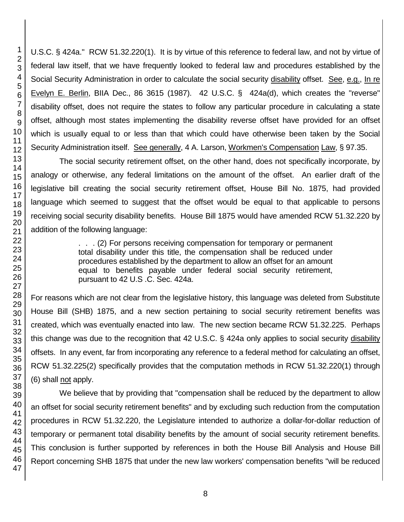U.S.C. § 424a." RCW 51.32.220(1). It is by virtue of this reference to federal law, and not by virtue of federal law itself, that we have frequently looked to federal law and procedures established by the Social Security Administration in order to calculate the social security disability offset. See, e.g., In re Evelyn E. Berlin, BIIA Dec., 86 3615 (1987). 42 U.S.C. § 424a(d), which creates the "reverse" disability offset, does not require the states to follow any particular procedure in calculating a state offset, although most states implementing the disability reverse offset have provided for an offset which is usually equal to or less than that which could have otherwise been taken by the Social Security Administration itself. See generally, 4 A. Larson, Workmen's Compensation Law, § 97.35.

The social security retirement offset, on the other hand, does not specifically incorporate, by analogy or otherwise, any federal limitations on the amount of the offset. An earlier draft of the legislative bill creating the social security retirement offset, House Bill No. 1875, had provided language which seemed to suggest that the offset would be equal to that applicable to persons receiving social security disability benefits. House Bill 1875 would have amended RCW 51.32.220 by addition of the following language:

> . . . (2) For persons receiving compensation for temporary or permanent total disability under this title, the compensation shall be reduced under procedures established by the department to allow an offset for an amount equal to benefits payable under federal social security retirement, pursuant to 42 U.S .C. Sec. 424a.

For reasons which are not clear from the legislative history, this language was deleted from Substitute House Bill (SHB) 1875, and a new section pertaining to social security retirement benefits was created, which was eventually enacted into law. The new section became RCW 51.32.225. Perhaps this change was due to the recognition that 42 U.S.C. § 424a only applies to social security disability offsets. In any event, far from incorporating any reference to a federal method for calculating an offset, RCW 51.32.225(2) specifically provides that the computation methods in RCW 51.32.220(1) through (6) shall not apply.

We believe that by providing that "compensation shall be reduced by the department to allow an offset for social security retirement benefits" and by excluding such reduction from the computation procedures in RCW 51.32.220, the Legislature intended to authorize a dollar-for-dollar reduction of temporary or permanent total disability benefits by the amount of social security retirement benefits. This conclusion is further supported by references in both the House Bill Analysis and House Bill Report concerning SHB 1875 that under the new law workers' compensation benefits "will be reduced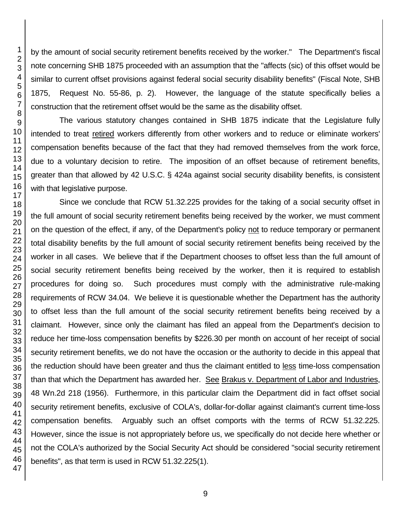by the amount of social security retirement benefits received by the worker." The Department's fiscal note concerning SHB 1875 proceeded with an assumption that the "affects (sic) of this offset would be similar to current offset provisions against federal social security disability benefits" (Fiscal Note, SHB 1875, Request No. 55-86, p. 2). However, the language of the statute specifically belies a construction that the retirement offset would be the same as the disability offset.

The various statutory changes contained in SHB 1875 indicate that the Legislature fully intended to treat retired workers differently from other workers and to reduce or eliminate workers' compensation benefits because of the fact that they had removed themselves from the work force, due to a voluntary decision to retire. The imposition of an offset because of retirement benefits, greater than that allowed by 42 U.S.C. § 424a against social security disability benefits, is consistent with that legislative purpose.

Since we conclude that RCW 51.32.225 provides for the taking of a social security offset in the full amount of social security retirement benefits being received by the worker, we must comment on the question of the effect, if any, of the Department's policy not to reduce temporary or permanent total disability benefits by the full amount of social security retirement benefits being received by the worker in all cases. We believe that if the Department chooses to offset less than the full amount of social security retirement benefits being received by the worker, then it is required to establish procedures for doing so. Such procedures must comply with the administrative rule-making requirements of RCW 34.04. We believe it is questionable whether the Department has the authority to offset less than the full amount of the social security retirement benefits being received by a claimant. However, since only the claimant has filed an appeal from the Department's decision to reduce her time-loss compensation benefits by \$226.30 per month on account of her receipt of social security retirement benefits, we do not have the occasion or the authority to decide in this appeal that the reduction should have been greater and thus the claimant entitled to less time-loss compensation than that which the Department has awarded her. See Brakus v. Department of Labor and Industries, 48 Wn.2d 218 (1956). Furthermore, in this particular claim the Department did in fact offset social security retirement benefits, exclusive of COLA's, dollar-for-dollar against claimant's current time-loss compensation benefits. Arguably such an offset comports with the terms of RCW 51.32.225. However, since the issue is not appropriately before us, we specifically do not decide here whether or not the COLA's authorized by the Social Security Act should be considered "social security retirement benefits", as that term is used in RCW 51.32.225(1).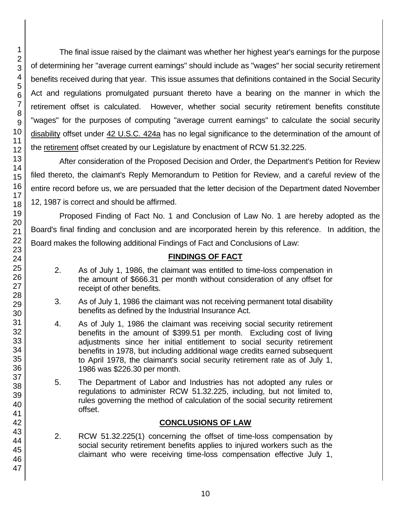The final issue raised by the claimant was whether her highest year's earnings for the purpose of determining her "average current earnings" should include as "wages" her social security retirement benefits received during that year. This issue assumes that definitions contained in the Social Security Act and regulations promulgated pursuant thereto have a bearing on the manner in which the retirement offset is calculated. However, whether social security retirement benefits constitute "wages" for the purposes of computing "average current earnings" to calculate the social security disability offset under 42 U.S.C. 424a has no legal significance to the determination of the amount of the retirement offset created by our Legislature by enactment of RCW 51.32.225.

After consideration of the Proposed Decision and Order, the Department's Petition for Review filed thereto, the claimant's Reply Memorandum to Petition for Review, and a careful review of the entire record before us, we are persuaded that the letter decision of the Department dated November 12, 1987 is correct and should be affirmed.

Proposed Finding of Fact No. 1 and Conclusion of Law No. 1 are hereby adopted as the Board's final finding and conclusion and are incorporated herein by this reference. In addition, the Board makes the following additional Findings of Fact and Conclusions of Law:

# **FINDINGS OF FACT**

- 2. As of July 1, 1986, the claimant was entitled to time-loss compenation in the amount of \$666.31 per month without consideration of any offset for receipt of other benefits.
- 3. As of July 1, 1986 the claimant was not receiving permanent total disability benefits as defined by the Industrial Insurance Act.
- 4. As of July 1, 1986 the claimant was receiving social security retirement benefits in the amount of \$399.51 per month. Excluding cost of living adjustments since her initial entitlement to social security retirement benefits in 1978, but including additional wage credits earned subsequent to April 1978, the claimant's social security retirement rate as of July 1, 1986 was \$226.30 per month.
- 5. The Department of Labor and Industries has not adopted any rules or regulations to administer RCW 51.32.225, including, but not limited to, rules governing the method of calculation of the social security retirement offset.

# **CONCLUSIONS OF LAW**

2. RCW 51.32.225(1) concerning the offset of time-loss compensation by social security retirement benefits applies to injured workers such as the claimant who were receiving time-loss compensation effective July 1,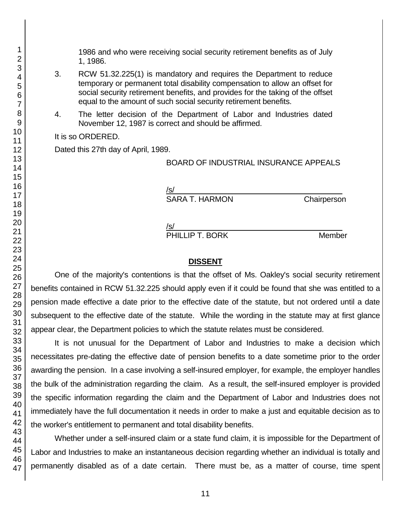1986 and who were receiving social security retirement benefits as of July 1, 1986.

- 3. RCW 51.32.225(1) is mandatory and requires the Department to reduce temporary or permanent total disability compensation to allow an offset for social security retirement benefits, and provides for the taking of the offset equal to the amount of such social security retirement benefits.
- 4. The letter decision of the Department of Labor and Industries dated November 12, 1987 is correct and should be affirmed.

It is so ORDERED.

Dated this 27th day of April, 1989.

BOARD OF INDUSTRIAL INSURANCE APPEALS

/s/  $\,$ SARA T. HARMON Chairperson

/s/  $\,$ 

PHILLIP T. BORK Member

#### **DISSENT**

One of the majority's contentions is that the offset of Ms. Oakley's social security retirement benefits contained in RCW 51.32.225 should apply even if it could be found that she was entitled to a pension made effective a date prior to the effective date of the statute, but not ordered until a date subsequent to the effective date of the statute. While the wording in the statute may at first glance appear clear, the Department policies to which the statute relates must be considered.

It is not unusual for the Department of Labor and Industries to make a decision which necessitates pre-dating the effective date of pension benefits to a date sometime prior to the order awarding the pension. In a case involving a self-insured employer, for example, the employer handles the bulk of the administration regarding the claim. As a result, the self-insured employer is provided the specific information regarding the claim and the Department of Labor and Industries does not immediately have the full documentation it needs in order to make a just and equitable decision as to the worker's entitlement to permanent and total disability benefits.

Whether under a self-insured claim or a state fund claim, it is impossible for the Department of Labor and Industries to make an instantaneous decision regarding whether an individual is totally and permanently disabled as of a date certain. There must be, as a matter of course, time spent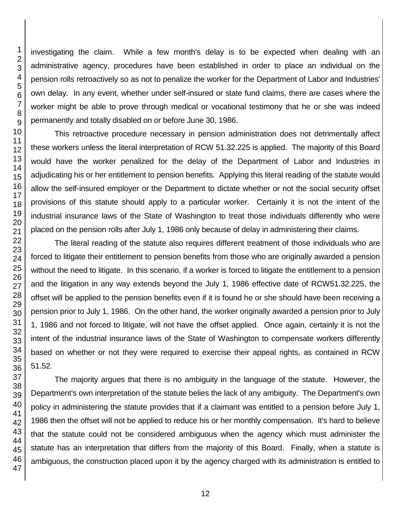investigating the claim. While a few month's delay is to be expected when dealing with an administrative agency, procedures have been established in order to place an individual on the pension rolls retroactively so as not to penalize the worker for the Department of Labor and Industries' own delay. In any event, whether under self-insured or state fund claims, there are cases where the worker might be able to prove through medical or vocational testimony that he or she was indeed permanently and totally disabled on or before June 30, 1986.

This retroactive procedure necessary in pension administration does not detrimentally affect these workers unless the literal interpretation of RCW 51.32.225 is applied. The majority of this Board would have the worker penalized for the delay of the Department of Labor and Industries in adjudicating his or her entitlement to pension benefits. Applying this literal reading of the statute would allow the self-insured employer or the Department to dictate whether or not the social security offset provisions of this statute should apply to a particular worker. Certainly it is not the intent of the industrial insurance laws of the State of Washington to treat those individuals differently who were placed on the pension rolls after July 1, 1986 only because of delay in administering their claims.

The literal reading of the statute also requires different treatment of those individuals who are forced to litigate their entitlement to pension benefits from those who are originally awarded a pension without the need to litigate. In this scenario, if a worker is forced to litigate the entitlement to a pension and the litigation in any way extends beyond the July 1, 1986 effective date of RCW51.32.225, the offset will be applied to the pension benefits even if it is found he or she should have been receiving a pension prior to July 1, 1986. On the other hand, the worker originally awarded a pension prior to July 1, 1986 and not forced to litigate, will not have the offset applied. Once again, certainly it is not the intent of the industrial insurance laws of the State of Washington to compensate workers differently based on whether or not they were required to exercise their appeal rights, as contained in RCW 51.52.

The majority argues that there is no ambiguity in the language of the statute. However, the Department's own interpretation of the statute belies the lack of any ambiguity. The Department's own policy in administering the statute provides that if a claimant was entitled to a pension before July 1, 1986 then the offset will not be applied to reduce his or her monthly compensation. It's hard to believe that the statute could not be considered ambiguous when the agency which must administer the statute has an interpretation that differs from the majority of this Board. Finally, when a statute is ambiguous, the construction placed upon it by the agency charged with its administration is entitled to